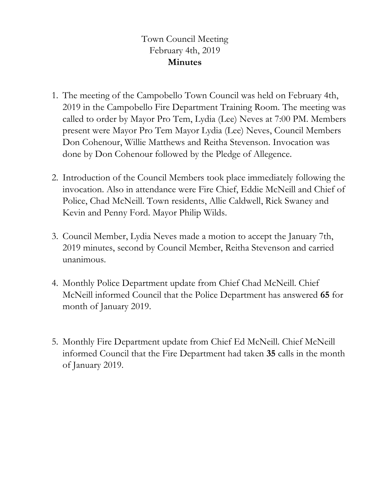## Town Council Meeting February 4th, 2019 **Minutes**

- 1. The meeting of the Campobello Town Council was held on February 4th, 2019 in the Campobello Fire Department Training Room. The meeting was called to order by Mayor Pro Tem, Lydia (Lee) Neves at 7:00 PM. Members present were Mayor Pro Tem Mayor Lydia (Lee) Neves, Council Members Don Cohenour, Willie Matthews and Reitha Stevenson. Invocation was done by Don Cohenour followed by the Pledge of Allegence.
- 2. Introduction of the Council Members took place immediately following the invocation. Also in attendance were Fire Chief, Eddie McNeill and Chief of Police, Chad McNeill. Town residents, Allie Caldwell, Rick Swaney and Kevin and Penny Ford. Mayor Philip Wilds.
- 3. Council Member, Lydia Neves made a motion to accept the January 7th, 2019 minutes, second by Council Member, Reitha Stevenson and carried unanimous.
- 4. Monthly Police Department update from Chief Chad McNeill. Chief McNeill informed Council that the Police Department has answered **65** for month of January 2019.
- 5. Monthly Fire Department update from Chief Ed McNeill. Chief McNeill informed Council that the Fire Department had taken **35** calls in the month of January 2019.